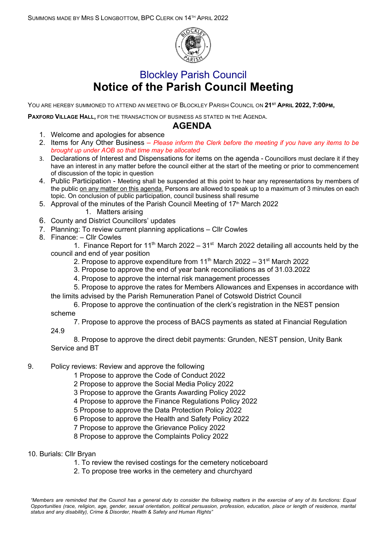

## Blockley Parish Council **Notice of the Parish Council Meeting**

YOU ARE HEREBY SUMMONED TO ATTEND AN MEETING OF BLOCKLEY PARISH COUNCIL ON **21ST APRIL 2022, 7:00PM,**

**PAXFORD VILLAGE HALL,** FOR THE TRANSACTION OF BUSINESS AS STATED IN THE AGENDA.

## **AGENDA**

- 1. Welcome and apologies for absence
- 2. Items for Any Other Business *– Please inform the Clerk before the meeting if you have any items to be brought up under AOB so that time may be allocated*
- 3. Declarations of Interest and Dispensations for items on the agenda Councillors must declare it if they have an interest in any matter before the council either at the start of the meeting or prior to commencement of discussion of the topic in question
- 4. Public Participation Meeting shall be suspended at this point to hear any representations by members of the public on any matter on this agenda. Persons are allowed to speak up to a maximum of 3 minutes on each topic. On conclusion of public participation, council business shall resume
- 5. Approval of the minutes of the Parish Council Meeting of  $17<sup>th</sup>$  March 2022
	- 1. Matters arising
- 6. County and District Councillors' updates
- 7. Planning: To review current planning applications Cllr Cowles
- 8. Finance: Cllr Cowles

1. Finance Report for 11<sup>th</sup> March 2022 – 31<sup>st</sup> March 2022 detailing all accounts held by the council and end of year position

- 2. Propose to approve expenditure from 11<sup>th</sup> March 2022 31<sup>st</sup> March 2022
- 3. Propose to approve the end of year bank reconciliations as of 31.03.2022
- 4. Propose to approve the internal risk management processes
- 5. Propose to approve the rates for Members Allowances and Expenses in accordance with the limits advised by the Parish Remuneration Panel of Cotswold District Council
- 6. Propose to approve the continuation of the clerk's registration in the NEST pension scheme

7. Propose to approve the process of BACS payments as stated at Financial Regulation

24.9

8. Propose to approve the direct debit payments: Grunden, NEST pension, Unity Bank Service and BT

## 9. Policy reviews: Review and approve the following

- 1 Propose to approve the Code of Conduct 2022
- 2 Propose to approve the Social Media Policy 2022
- 3 Propose to approve the Grants Awarding Policy 2022
- 4 Propose to approve the Finance Regulations Policy 2022
- 5 Propose to approve the Data Protection Policy 2022
- 6 Propose to approve the Health and Safety Policy 2022
- 7 Propose to approve the Grievance Policy 2022
- 8 Propose to approve the Complaints Policy 2022

## 10. Burials: Cllr Bryan

- 1. To review the revised costings for the cemetery noticeboard
- 2. To propose tree works in the cemetery and churchyard